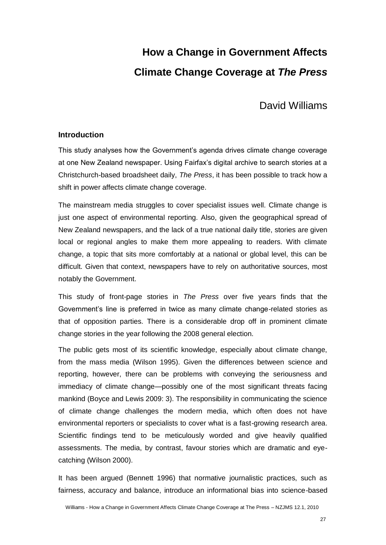# **How a Change in Government Affects Climate Change Coverage at** *The Press*

David Williams

## **Introduction**

This study analyses how the Government's agenda drives climate change coverage at one New Zealand newspaper. Using Fairfax's digital archive to search stories at a Christchurch-based broadsheet daily, *The Press*, it has been possible to track how a shift in power affects climate change coverage.

The mainstream media struggles to cover specialist issues well. Climate change is just one aspect of environmental reporting. Also, given the geographical spread of New Zealand newspapers, and the lack of a true national daily title, stories are given local or regional angles to make them more appealing to readers. With climate change, a topic that sits more comfortably at a national or global level, this can be difficult. Given that context, newspapers have to rely on authoritative sources, most notably the Government.

This study of front-page stories in *The Press* over five years finds that the Government's line is preferred in twice as many climate change-related stories as that of opposition parties. There is a considerable drop off in prominent climate change stories in the year following the 2008 general election.

The public gets most of its scientific knowledge, especially about climate change, from the mass media (Wilson 1995). Given the differences between science and reporting, however, there can be problems with conveying the seriousness and immediacy of climate change—possibly one of the most significant threats facing mankind (Boyce and Lewis 2009: 3). The responsibility in communicating the science of climate change challenges the modern media, which often does not have environmental reporters or specialists to cover what is a fast-growing research area. Scientific findings tend to be meticulously worded and give heavily qualified assessments. The media, by contrast, favour stories which are dramatic and eyecatching (Wilson 2000).

It has been argued (Bennett 1996) that normative journalistic practices, such as fairness, accuracy and balance, introduce an informational bias into science-based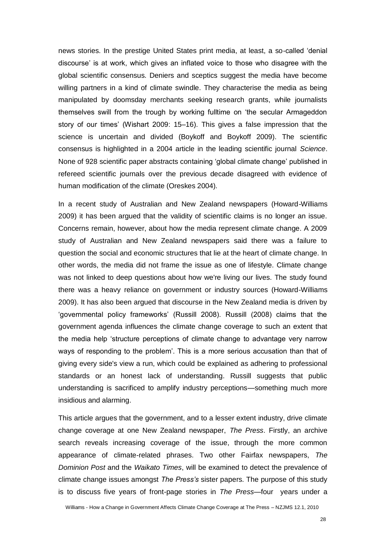news stories. In the prestige United States print media, at least, a so-called 'denial discourse' is at work, which gives an inflated voice to those who disagree with the global scientific consensus. Deniers and sceptics suggest the media have become willing partners in a kind of climate swindle. They characterise the media as being manipulated by doomsday merchants seeking research grants, while journalists themselves swill from the trough by working fulltime on 'the secular Armageddon story of our times' (Wishart 2009: 15–16). This gives a false impression that the science is uncertain and divided (Boykoff and Boykoff 2009). The scientific consensus is highlighted in a 2004 article in the leading scientific journal *Science*. None of 928 scientific paper abstracts containing 'global climate change' published in refereed scientific journals over the previous decade disagreed with evidence of human modification of the climate (Oreskes 2004).

In a recent study of Australian and New Zealand newspapers (Howard-Williams 2009) it has been argued that the validity of scientific claims is no longer an issue. Concerns remain, however, about how the media represent climate change. A 2009 study of Australian and New Zealand newspapers said there was a failure to question the social and economic structures that lie at the heart of climate change. In other words, the media did not frame the issue as one of lifestyle. Climate change was not linked to deep questions about how we're living our lives. The study found there was a heavy reliance on government or industry sources (Howard-Williams 2009). It has also been argued that discourse in the New Zealand media is driven by 'governmental policy frameworks' (Russill 2008). Russill (2008) claims that the government agenda influences the climate change coverage to such an extent that the media help 'structure perceptions of climate change to advantage very narrow ways of responding to the problem'. This is a more serious accusation than that of giving every side's view a run, which could be explained as adhering to professional standards or an honest lack of understanding. Russill suggests that public understanding is sacrificed to amplify industry perceptions—something much more insidious and alarming.

This article argues that the government, and to a lesser extent industry, drive climate change coverage at one New Zealand newspaper, *The Press*. Firstly, an archive search reveals increasing coverage of the issue, through the more common appearance of climate-related phrases. Two other Fairfax newspapers, *The Dominion Post* and the *Waikato Times*, will be examined to detect the prevalence of climate change issues amongst *The Press's* sister papers. The purpose of this study is to discuss five years of front-page stories in *The Press*—four years under a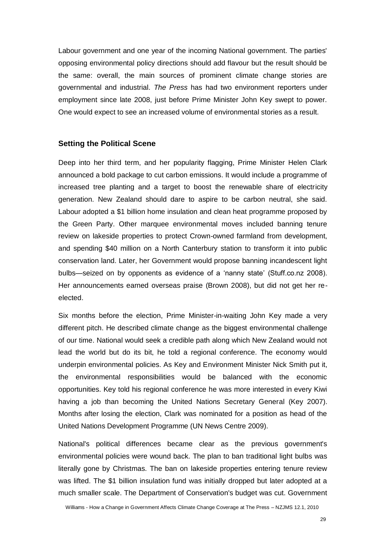Labour government and one year of the incoming National government. The parties' opposing environmental policy directions should add flavour but the result should be the same: overall, the main sources of prominent climate change stories are governmental and industrial. *The Press* has had two environment reporters under employment since late 2008, just before Prime Minister John Key swept to power. One would expect to see an increased volume of environmental stories as a result.

#### **Setting the Political Scene**

Deep into her third term, and her popularity flagging, Prime Minister Helen Clark announced a bold package to cut carbon emissions. It would include a programme of increased tree planting and a target to boost the renewable share of electricity generation. New Zealand should dare to aspire to be carbon neutral, she said. Labour adopted a \$1 billion home insulation and clean heat programme proposed by the Green Party. Other marquee environmental moves included banning tenure review on lakeside properties to protect Crown-owned farmland from development, and spending \$40 million on a North Canterbury station to transform it into public conservation land. Later, her Government would propose banning incandescent light bulbs—seized on by opponents as evidence of a 'nanny state' (Stuff.co.nz 2008). Her announcements earned overseas praise (Brown 2008), but did not get her reelected.

Six months before the election, Prime Minister-in-waiting John Key made a very different pitch. He described climate change as the biggest environmental challenge of our time. National would seek a credible path along which New Zealand would not lead the world but do its bit, he told a regional conference. The economy would underpin environmental policies. As Key and Environment Minister Nick Smith put it, the environmental responsibilities would be balanced with the economic opportunities. Key told his regional conference he was more interested in every Kiwi having a job than becoming the United Nations Secretary General (Key 2007). Months after losing the election, Clark was nominated for a position as head of the United Nations Development Programme (UN News Centre 2009).

National's political differences became clear as the previous government's environmental policies were wound back. The plan to ban traditional light bulbs was literally gone by Christmas. The ban on lakeside properties entering tenure review was lifted. The \$1 billion insulation fund was initially dropped but later adopted at a much smaller scale. The Department of Conservation's budget was cut. Government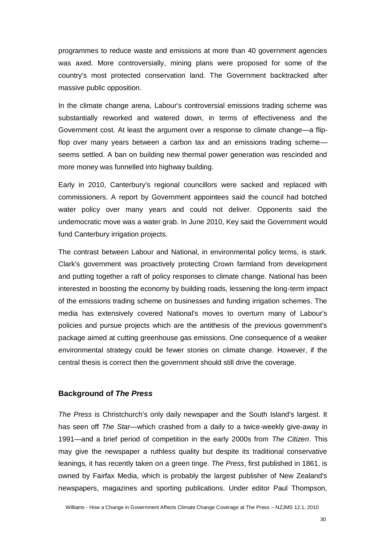programmes to reduce waste and emissions at more than 40 government agencies was axed. More controversially, mining plans were proposed for some of the country's most protected conservation land. The Government backtracked after massive public opposition.

In the climate change arena, Labour's controversial emissions trading scheme was substantially reworked and watered down, in terms of effectiveness and the Government cost. At least the argument over a response to climate change—a flipflop over many years between a carbon tax and an emissions trading scheme seems settled. A ban on building new thermal power generation was rescinded and more money was funnelled into highway building.

Early in 2010, Canterbury's regional councillors were sacked and replaced with commissioners. A report by Government appointees said the council had botched water policy over many years and could not deliver. Opponents said the undemocratic move was a water grab. In June 2010, Key said the Government would fund Canterbury irrigation projects.

The contrast between Labour and National, in environmental policy terms, is stark. Clark's government was proactively protecting Crown farmland from development and putting together a raft of policy responses to climate change. National has been interested in boosting the economy by building roads, lessening the long-term impact of the emissions trading scheme on businesses and funding irrigation schemes. The media has extensively covered National's moves to overturn many of Labour's policies and pursue projects which are the antithesis of the previous government's package aimed at cutting greenhouse gas emissions. One consequence of a weaker environmental strategy could be fewer stories on climate change. However, if the central thesis is correct then the government should still drive the coverage.

#### **Background of** *The Press*

*The Press* is Christchurch's only daily newspaper and the South Island's largest. It has seen off *The Star*—which crashed from a daily to a twice-weekly give-away in 1991—and a brief period of competition in the early 2000s from *The Citizen*. This may give the newspaper a ruthless quality but despite its traditional conservative leanings, it has recently taken on a green tinge. *The Press*, first published in 1861, is owned by Fairfax Media, which is probably the largest publisher of New Zealand's newspapers, magazines and sporting publications. Under editor Paul Thompson,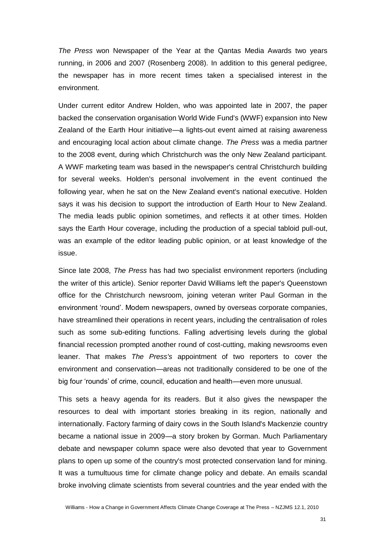*The Press* won Newspaper of the Year at the Qantas Media Awards two years running, in 2006 and 2007 (Rosenberg 2008). In addition to this general pedigree, the newspaper has in more recent times taken a specialised interest in the environment.

Under current editor Andrew Holden, who was appointed late in 2007, the paper backed the conservation organisation World Wide Fund's (WWF) expansion into New Zealand of the Earth Hour initiative—a lights-out event aimed at raising awareness and encouraging local action about climate change. *The Press* was a media partner to the 2008 event, during which Christchurch was the only New Zealand participant. A WWF marketing team was based in the newspaper's central Christchurch building for several weeks. Holden's personal involvement in the event continued the following year, when he sat on the New Zealand event's national executive. Holden says it was his decision to support the introduction of Earth Hour to New Zealand. The media leads public opinion sometimes, and reflects it at other times. Holden says the Earth Hour coverage, including the production of a special tabloid pull-out, was an example of the editor leading public opinion, or at least knowledge of the issue.

Since late 2008, *The Press* has had two specialist environment reporters (including the writer of this article). Senior reporter David Williams left the paper's Queenstown office for the Christchurch newsroom, joining veteran writer Paul Gorman in the environment 'round'. Modern newspapers, owned by overseas corporate companies, have streamlined their operations in recent years, including the centralisation of roles such as some sub-editing functions. Falling advertising levels during the global financial recession prompted another round of cost-cutting, making newsrooms even leaner. That makes *The Press's* appointment of two reporters to cover the environment and conservation—areas not traditionally considered to be one of the big four 'rounds' of crime, council, education and health—even more unusual.

This sets a heavy agenda for its readers. But it also gives the newspaper the resources to deal with important stories breaking in its region, nationally and internationally. Factory farming of dairy cows in the South Island's Mackenzie country became a national issue in 2009—a story broken by Gorman. Much Parliamentary debate and newspaper column space were also devoted that year to Government plans to open up some of the country's most protected conservation land for mining. It was a tumultuous time for climate change policy and debate. An emails scandal broke involving climate scientists from several countries and the year ended with the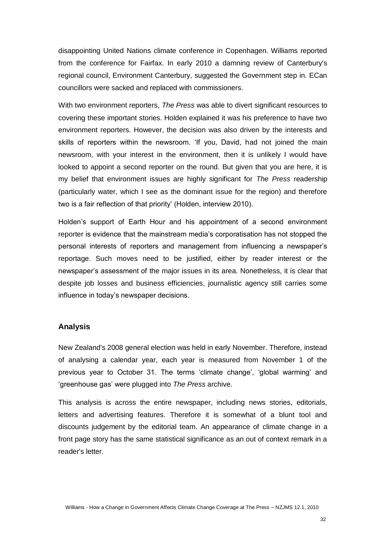disappointing United Nations climate conference in Copenhagen. Williams reported from the conference for Fairfax. In early 2010 a damning review of Canterbury's regional council, Environment Canterbury, suggested the Government step in. ECan councillors were sacked and replaced with commissioners.

With two environment reporters, *The Press* was able to divert significant resources to covering these important stories. Holden explained it was his preference to have two environment reporters. However, the decision was also driven by the interests and skills of reporters within the newsroom. 'If you, David, had not joined the main newsroom, with your interest in the environment, then it is unlikely I would have looked to appoint a second reporter on the round. But given that you are here, it is my belief that environment issues are highly significant for *The Press* readership (particularly water, which I see as the dominant issue for the region) and therefore two is a fair reflection of that priority' (Holden, interview 2010).

Holden's support of Earth Hour and his appointment of a second environment reporter is evidence that the mainstream media's corporatisation has not stopped the personal interests of reporters and management from influencing a newspaper's reportage. Such moves need to be justified, either by reader interest or the newspaper's assessment of the major issues in its area. Nonetheless, it is clear that despite job losses and business efficiencies, journalistic agency still carries some influence in today's newspaper decisions.

#### **Analysis**

New Zealand's 2008 general election was held in early November. Therefore, instead of analysing a calendar year, each year is measured from November 1 of the previous year to October 31. The terms 'climate change', 'global warming' and 'greenhouse gas' were plugged into *The Press* archive.

This analysis is across the entire newspaper, including news stories, editorials, letters and advertising features. Therefore it is somewhat of a blunt tool and discounts judgement by the editorial team. An appearance of climate change in a front page story has the same statistical significance as an out of context remark in a reader's letter.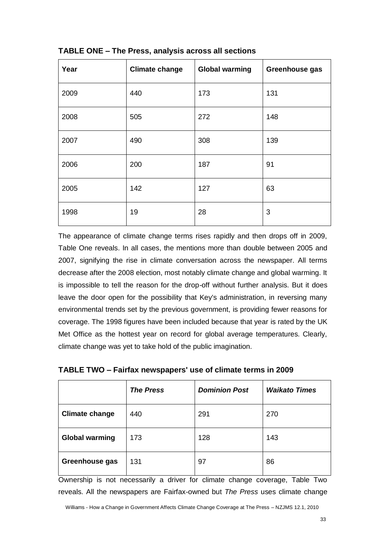| Year | <b>Climate change</b> | <b>Global warming</b> | Greenhouse gas |
|------|-----------------------|-----------------------|----------------|
| 2009 | 440                   | 173                   | 131            |
| 2008 | 505                   | 272                   | 148            |
| 2007 | 490                   | 308                   | 139            |
| 2006 | 200                   | 187                   | 91             |
| 2005 | 142                   | 127                   | 63             |
| 1998 | 19                    | 28                    | 3              |

## **TABLE ONE – The Press, analysis across all sections**

The appearance of climate change terms rises rapidly and then drops off in 2009, Table One reveals. In all cases, the mentions more than double between 2005 and 2007, signifying the rise in climate conversation across the newspaper. All terms decrease after the 2008 election, most notably climate change and global warming. It is impossible to tell the reason for the drop-off without further analysis. But it does leave the door open for the possibility that Key's administration, in reversing many environmental trends set by the previous government, is providing fewer reasons for coverage. The 1998 figures have been included because that year is rated by the UK Met Office as the hottest year on record for global average temperatures. Clearly, climate change was yet to take hold of the public imagination.

| TABLE TWO - Fairfax newspapers' use of climate terms in 2009 |  |
|--------------------------------------------------------------|--|
|--------------------------------------------------------------|--|

|                       | <b>The Press</b> | <b>Dominion Post</b> | <b>Waikato Times</b> |
|-----------------------|------------------|----------------------|----------------------|
| <b>Climate change</b> | 440              | 291                  | 270                  |
| <b>Global warming</b> | 173              | 128                  | 143                  |
| Greenhouse gas        | 131              | 97                   | 86                   |

Ownership is not necessarily a driver for climate change coverage, Table Two reveals. All the newspapers are Fairfax-owned but *The Press* uses climate change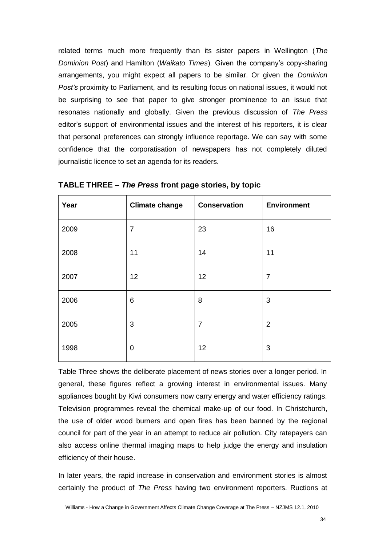related terms much more frequently than its sister papers in Wellington (*The Dominion Post*) and Hamilton (*Waikato Times*). Given the company's copy-sharing arrangements, you might expect all papers to be similar. Or given the *Dominion Post's* proximity to Parliament, and its resulting focus on national issues, it would not be surprising to see that paper to give stronger prominence to an issue that resonates nationally and globally. Given the previous discussion of *The Press* editor's support of environmental issues and the interest of his reporters, it is clear that personal preferences can strongly influence reportage. We can say with some confidence that the corporatisation of newspapers has not completely diluted journalistic licence to set an agenda for its readers.

| Year | <b>Climate change</b> | <b>Conservation</b> | <b>Environment</b> |
|------|-----------------------|---------------------|--------------------|
| 2009 | $\overline{7}$        | 23                  | 16                 |
| 2008 | 11                    | 14                  | 11                 |
| 2007 | 12                    | 12                  | $\overline{7}$     |
| 2006 | 6                     | 8                   | 3                  |
| 2005 | 3                     | $\overline{7}$      | $\overline{2}$     |
| 1998 | $\mathbf 0$           | 12                  | 3                  |

**TABLE THREE –** *The Press* **front page stories, by topic**

Table Three shows the deliberate placement of news stories over a longer period. In general, these figures reflect a growing interest in environmental issues. Many appliances bought by Kiwi consumers now carry energy and water efficiency ratings. Television programmes reveal the chemical make-up of our food. In Christchurch, the use of older wood burners and open fires has been banned by the regional council for part of the year in an attempt to reduce air pollution. City ratepayers can also access online thermal imaging maps to help judge the energy and insulation efficiency of their house.

In later years, the rapid increase in conservation and environment stories is almost certainly the product of *The Press* having two environment reporters. Ructions at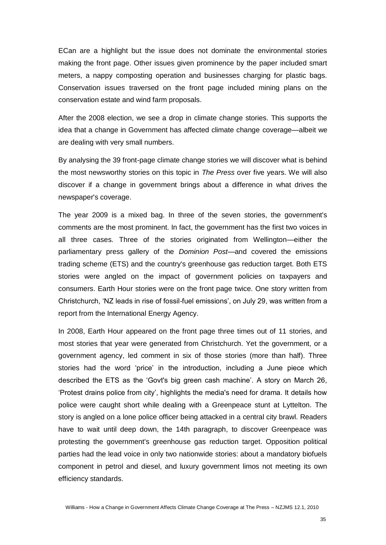ECan are a highlight but the issue does not dominate the environmental stories making the front page. Other issues given prominence by the paper included smart meters, a nappy composting operation and businesses charging for plastic bags. Conservation issues traversed on the front page included mining plans on the conservation estate and wind farm proposals.

After the 2008 election, we see a drop in climate change stories. This supports the idea that a change in Government has affected climate change coverage—albeit we are dealing with very small numbers.

By analysing the 39 front-page climate change stories we will discover what is behind the most newsworthy stories on this topic in *The Press* over five years. We will also discover if a change in government brings about a difference in what drives the newspaper's coverage.

The year 2009 is a mixed bag. In three of the seven stories, the government's comments are the most prominent. In fact, the government has the first two voices in all three cases. Three of the stories originated from Wellington—either the parliamentary press gallery of the *Dominion Post*—and covered the emissions trading scheme (ETS) and the country's greenhouse gas reduction target. Both ETS stories were angled on the impact of government policies on taxpayers and consumers. Earth Hour stories were on the front page twice. One story written from Christchurch, 'NZ leads in rise of fossil-fuel emissions', on July 29, was written from a report from the International Energy Agency.

In 2008, Earth Hour appeared on the front page three times out of 11 stories, and most stories that year were generated from Christchurch. Yet the government, or a government agency, led comment in six of those stories (more than half). Three stories had the word 'price' in the introduction, including a June piece which described the ETS as the 'Govt's big green cash machine'. A story on March 26, 'Protest drains police from city', highlights the media's need for drama. It details how police were caught short while dealing with a Greenpeace stunt at Lyttelton. The story is angled on a lone police officer being attacked in a central city brawl. Readers have to wait until deep down, the 14th paragraph, to discover Greenpeace was protesting the government's greenhouse gas reduction target. Opposition political parties had the lead voice in only two nationwide stories: about a mandatory biofuels component in petrol and diesel, and luxury government limos not meeting its own efficiency standards.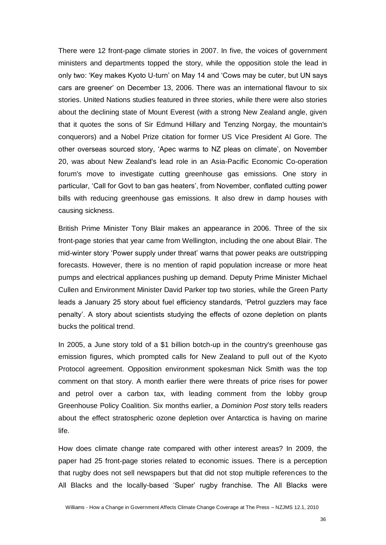There were 12 front-page climate stories in 2007. In five, the voices of government ministers and departments topped the story, while the opposition stole the lead in only two: 'Key makes Kyoto U-turn' on May 14 and 'Cows may be cuter, but UN says cars are greener' on December 13, 2006. There was an international flavour to six stories. United Nations studies featured in three stories, while there were also stories about the declining state of Mount Everest (with a strong New Zealand angle, given that it quotes the sons of Sir Edmund Hillary and Tenzing Norgay, the mountain's conquerors) and a Nobel Prize citation for former US Vice President Al Gore. The other overseas sourced story, 'Apec warms to NZ pleas on climate', on November 20, was about New Zealand's lead role in an Asia-Pacific Economic Co-operation forum's move to investigate cutting greenhouse gas emissions. One story in particular, 'Call for Govt to ban gas heaters', from November, conflated cutting power bills with reducing greenhouse gas emissions. It also drew in damp houses with causing sickness.

British Prime Minister Tony Blair makes an appearance in 2006. Three of the six front-page stories that year came from Wellington, including the one about Blair. The mid-winter story 'Power supply under threat' warns that power peaks are outstripping forecasts. However, there is no mention of rapid population increase or more heat pumps and electrical appliances pushing up demand. Deputy Prime Minister Michael Cullen and Environment Minister David Parker top two stories, while the Green Party leads a January 25 story about fuel efficiency standards, 'Petrol guzzlers may face penalty'. A story about scientists studying the effects of ozone depletion on plants bucks the political trend.

In 2005, a June story told of a \$1 billion botch-up in the country's greenhouse gas emission figures, which prompted calls for New Zealand to pull out of the Kyoto Protocol agreement. Opposition environment spokesman Nick Smith was the top comment on that story. A month earlier there were threats of price rises for power and petrol over a carbon tax, with leading comment from the lobby group Greenhouse Policy Coalition. Six months earlier, a *Dominion Post* story tells readers about the effect stratospheric ozone depletion over Antarctica is having on marine life.

How does climate change rate compared with other interest areas? In 2009, the paper had 25 front-page stories related to economic issues. There is a perception that rugby does not sell newspapers but that did not stop multiple references to the All Blacks and the locally-based 'Super' rugby franchise. The All Blacks were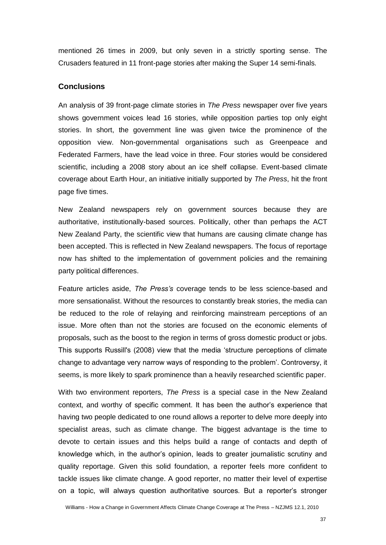mentioned 26 times in 2009, but only seven in a strictly sporting sense. The Crusaders featured in 11 front-page stories after making the Super 14 semi-finals.

#### **Conclusions**

An analysis of 39 front-page climate stories in *The Press* newspaper over five years shows government voices lead 16 stories, while opposition parties top only eight stories. In short, the government line was given twice the prominence of the opposition view. Non-governmental organisations such as Greenpeace and Federated Farmers, have the lead voice in three. Four stories would be considered scientific, including a 2008 story about an ice shelf collapse. Event-based climate coverage about Earth Hour, an initiative initially supported by *The Press*, hit the front page five times.

New Zealand newspapers rely on government sources because they are authoritative, institutionally-based sources. Politically, other than perhaps the ACT New Zealand Party, the scientific view that humans are causing climate change has been accepted. This is reflected in New Zealand newspapers. The focus of reportage now has shifted to the implementation of government policies and the remaining party political differences.

Feature articles aside, *The Press's* coverage tends to be less science-based and more sensationalist. Without the resources to constantly break stories, the media can be reduced to the role of relaying and reinforcing mainstream perceptions of an issue. More often than not the stories are focused on the economic elements of proposals, such as the boost to the region in terms of gross domestic product or jobs. This supports Russill's (2008) view that the media 'structure perceptions of climate change to advantage very narrow ways of responding to the problem'. Controversy, it seems, is more likely to spark prominence than a heavily researched scientific paper.

With two environment reporters, *The Press* is a special case in the New Zealand context, and worthy of specific comment. It has been the author's experience that having two people dedicated to one round allows a reporter to delve more deeply into specialist areas, such as climate change. The biggest advantage is the time to devote to certain issues and this helps build a range of contacts and depth of knowledge which, in the author's opinion, leads to greater journalistic scrutiny and quality reportage. Given this solid foundation, a reporter feels more confident to tackle issues like climate change. A good reporter, no matter their level of expertise on a topic, will always question authoritative sources. But a reporter's stronger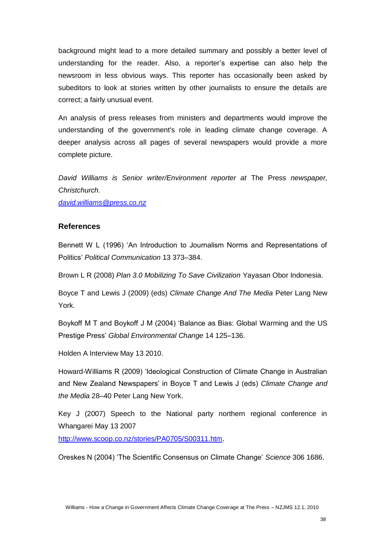background might lead to a more detailed summary and possibly a better level of understanding for the reader. Also, a reporter's expertise can also help the newsroom in less obvious ways. This reporter has occasionally been asked by subeditors to look at stories written by other journalists to ensure the details are correct; a fairly unusual event.

An analysis of press releases from ministers and departments would improve the understanding of the government's role in leading climate change coverage. A deeper analysis across all pages of several newspapers would provide a more complete picture.

*David Williams is Senior writer/Environment reporter at* The Press *newspaper, Christchurch.* 

*[david.williams@press.co.nz](mailto:david.williams@press.co.nz)*

### **References**

Bennett W L (1996) 'An Introduction to Journalism Norms and Representations of Politics' *Political Communication* 13 373–384.

Brown L R (2008) *Plan 3.0 Mobilizing To Save Civilization* Yayasan Obor Indonesia.

Boyce T and Lewis J (2009) (eds) *Climate Change And The Media* Peter Lang New York.

Boykoff M T and Boykoff J M (2004) 'Balance as Bias: Global Warming and the US Prestige Press' *Global Environmental Change* 14 125–136.

Holden A Interview May 13 2010.

Howard-Williams R (2009) 'Ideological Construction of Climate Change in Australian and New Zealand Newspapers' in Boyce T and Lewis J (eds) *Climate Change and the Media* 28–40 Peter Lang New York.

Key J (2007) Speech to the National party northern regional conference in Whangarei May 13 2007

<http://www.scoop.co.nz/stories/PA0705/S00311.htm>.

Oreskes N (2004) 'The Scientific Consensus on Climate Change' *Science* 306 1686.